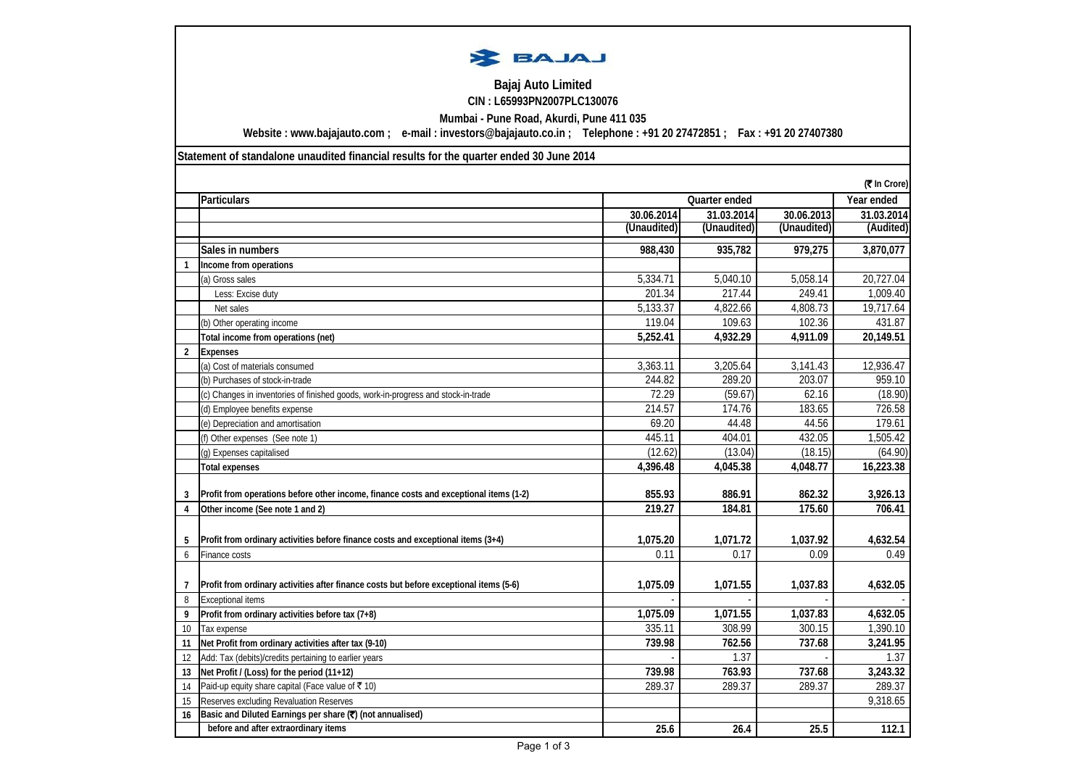

## **CIN : L65993PN2007PLC130076 Bajaj Auto Limited**

**Mumbai - Pune Road, Akurdi, Pune 411 035**

**Website : www.bajajauto.com ; e-mail : investors@bajajauto.co.in ; Telephone : +91 20 27472851 ; Fax : +91 20 27407380**

## **Statement of standalone unaudited financial results for the quarter ended 30 June 2014**

|                |                                                                                        |             |               |             | (₹ In Crore) |
|----------------|----------------------------------------------------------------------------------------|-------------|---------------|-------------|--------------|
|                | <b>Particulars</b>                                                                     |             | Quarter ended |             | Year ended   |
|                |                                                                                        | 30.06.2014  | 31.03.2014    | 30.06.2013  | 31.03.2014   |
|                |                                                                                        | (Unaudited) | (Unaudited)   | (Unaudited) | (Audited)    |
|                | Sales in numbers                                                                       | 988,430     | 935,782       | 979,275     | 3,870,077    |
|                | Income from operations                                                                 |             |               |             |              |
|                | (a) Gross sales                                                                        | 5,334.71    | 5,040.10      | 5,058.14    | 20,727.04    |
|                | Less: Excise duty                                                                      | 201.34      | 217.44        | 249.41      | 1,009.40     |
|                | Net sales                                                                              | 5,133.37    | 4,822.66      | 4,808.73    | 19,717.64    |
|                | (b) Other operating income                                                             | 119.04      | 109.63        | 102.36      | 431.87       |
|                | Total income from operations (net)                                                     | 5,252.41    | 4,932.29      | 4,911.09    | 20,149.51    |
| $\overline{2}$ | <b>Expenses</b>                                                                        |             |               |             |              |
|                | (a) Cost of materials consumed                                                         | 3,363.11    | 3,205.64      | 3,141.43    | 12,936.47    |
|                | (b) Purchases of stock-in-trade                                                        | 244.82      | 289.20        | 203.07      | 959.10       |
|                | (c) Changes in inventories of finished goods, work-in-progress and stock-in-trade      | 72.29       | (59.67)       | 62.16       | (18.90)      |
|                | (d) Employee benefits expense                                                          | 214.57      | 174.76        | 183.65      | 726.58       |
|                | (e) Depreciation and amortisation                                                      | 69.20       | 44.48         | 44.56       | 179.61       |
|                | (f) Other expenses (See note 1)                                                        | 445.11      | 404.01        | 432.05      | 1,505.42     |
|                | (g) Expenses capitalised                                                               | (12.62)     | (13.04)       | (18.15)     | (64.90)      |
|                | <b>Total expenses</b>                                                                  | 4,396.48    | 4,045.38      | 4,048.77    | 16,223.38    |
| 3              | Profit from operations before other income, finance costs and exceptional items (1-2)  | 855.93      | 886.91        | 862.32      | 3,926.13     |
| $\overline{4}$ | Other income (See note 1 and 2)                                                        | 219.27      | 184.81        | 175.60      | 706.41       |
| 5              | Profit from ordinary activities before finance costs and exceptional items (3+4)       | 1,075.20    | 1,071.72      | 1,037.92    | 4,632.54     |
| $\overline{6}$ | Finance costs                                                                          | 0.11        | 0.17          | 0.09        | 0.49         |
| $\overline{7}$ | Profit from ordinary activities after finance costs but before exceptional items (5-6) | 1,075.09    | 1,071.55      | 1,037.83    | 4,632.05     |
| 8              | <b>Exceptional items</b>                                                               |             |               |             |              |
| 9              | Profit from ordinary activities before tax (7+8)                                       | 1,075.09    | 1,071.55      | 1,037.83    | 4,632.05     |
| 10             | Tax expense                                                                            | 335.11      | 308.99        | 300.15      | 1,390.10     |
| 11             | Net Profit from ordinary activities after tax (9-10)                                   | 739.98      | 762.56        | 737.68      | 3,241.95     |
| 12             | Add: Tax (debits)/credits pertaining to earlier years                                  |             | 1.37          |             | 1.37         |
| 13             | Net Profit / (Loss) for the period (11+12)                                             | 739.98      | 763.93        | 737.68      | 3,243.32     |
| 14             | Paid-up equity share capital (Face value of ₹10)                                       | 289.37      | 289.37        | 289.37      | 289.37       |
| 15             | Reserves excluding Revaluation Reserves                                                |             |               |             | 9,318.65     |
| 16             | Basic and Diluted Earnings per share (₹) (not annualised)                              |             |               |             |              |
|                | before and after extraordinary items                                                   | 25.6        | 26.4          | 25.5        | 112.1        |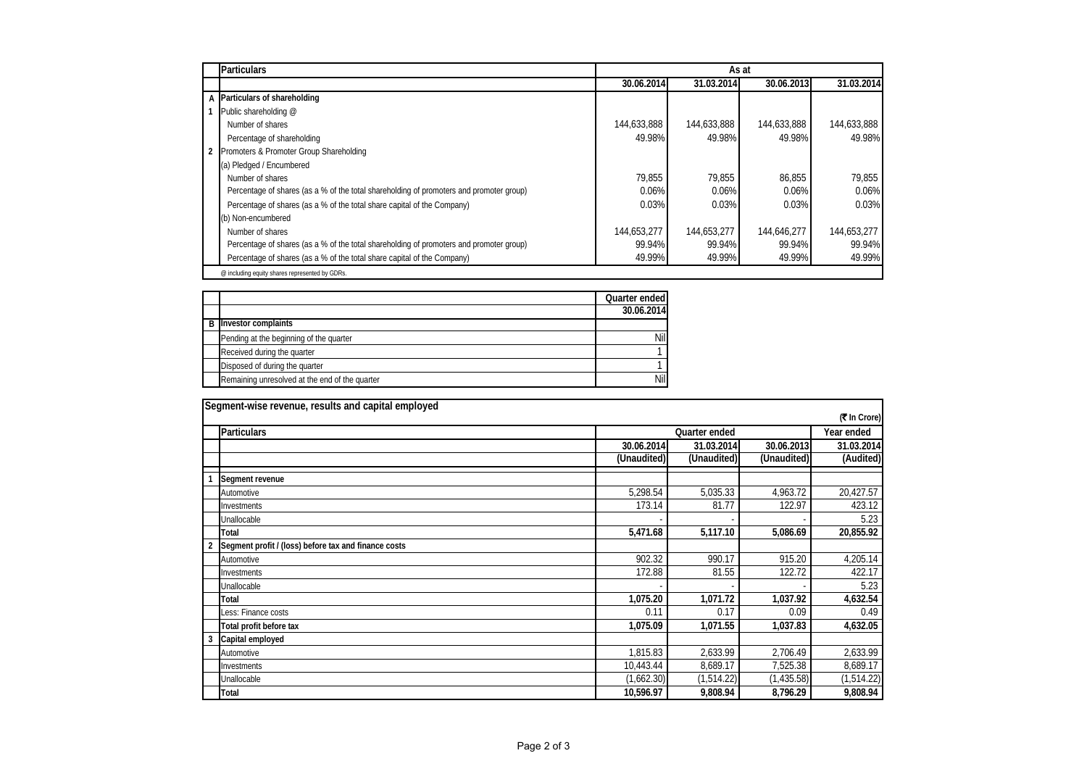|   | <b>Particulars</b>                                                                      |             | As at       |             |             |
|---|-----------------------------------------------------------------------------------------|-------------|-------------|-------------|-------------|
|   |                                                                                         | 30.06.2014  | 31.03.2014  | 30.06.2013  | 31.03.2014  |
| A | Particulars of shareholding                                                             |             |             |             |             |
|   | Public shareholding @                                                                   |             |             |             |             |
|   | Number of shares                                                                        | 144,633,888 | 144,633,888 | 144,633,888 | 144,633,888 |
|   | Percentage of shareholding                                                              | 49.98%      | 49.98%      | 49.98%      | 49.98%      |
|   | Promoters & Promoter Group Shareholding                                                 |             |             |             |             |
|   | (a) Pledged / Encumbered                                                                |             |             |             |             |
|   | Number of shares                                                                        | 79,855      | 79.855      | 86,855      | 79.855      |
|   | Percentage of shares (as a % of the total shareholding of promoters and promoter group) | 0.06%       | 0.06%       | 0.06%       | 0.06%       |
|   | Percentage of shares (as a % of the total share capital of the Company)                 | 0.03%       | 0.03%       | 0.03%       | 0.03%       |
|   | (b) Non-encumbered                                                                      |             |             |             |             |
|   | Number of shares                                                                        | 144,653,277 | 144,653,277 | 144.646.277 | 144.653.277 |
|   | Percentage of shares (as a % of the total shareholding of promoters and promoter group) | 99.94%      | 99.94%      | 99.94%      | 99.94%      |
|   | Percentage of shares (as a % of the total share capital of the Company)                 | 49.99%      | 49.99%      | 49.99%      | 49.99%      |
|   | @ including equity shares represented by GDRs.                                          |             |             |             |             |

|                                                | Quarter ended |
|------------------------------------------------|---------------|
|                                                | 30.06.2014    |
| <b>B</b> Investor complaints                   |               |
| Pending at the beginning of the quarter        | Nil           |
| Received during the quarter                    |               |
| Disposed of during the quarter                 |               |
| Remaining unresolved at the end of the quarter | Nil           |

|   | Segment-wise revenue, results and capital employed   |             |               |             |              |
|---|------------------------------------------------------|-------------|---------------|-------------|--------------|
|   |                                                      |             |               |             | (₹ In Crore) |
|   | <b>Particulars</b>                                   |             | Quarter ended |             | Year ended   |
|   |                                                      | 30.06.2014  | 31.03.2014    | 30.06.2013  | 31.03.2014   |
|   |                                                      | (Unaudited) | (Unaudited)   | (Unaudited) | (Audited)    |
|   | Segment revenue                                      |             |               |             |              |
|   | Automotive                                           | 5,298.54    | 5,035.33      | 4,963.72    | 20,427.57    |
|   | Investments                                          | 173.14      | 81.77         | 122.97      | 423.12       |
|   | Unallocable                                          |             |               |             | 5.23         |
|   | <b>Total</b>                                         | 5,471.68    | 5,117.10      | 5,086.69    | 20,855.92    |
|   | Segment profit / (loss) before tax and finance costs |             |               |             |              |
|   | Automotive                                           | 902.32      | 990.17        | 915.20      | 4,205.14     |
|   | Investments                                          | 172.88      | 81.55         | 122.72      | 422.17       |
|   | Unallocable                                          |             |               |             | 5.23         |
|   | Total                                                | 1,075.20    | 1,071.72      | 1,037.92    | 4,632.54     |
|   | Less: Finance costs                                  | 0.11        | 0.17          | 0.09        | 0.49         |
|   | Total profit before tax                              | 1,075.09    | 1,071.55      | 1,037.83    | 4,632.05     |
| 3 | Capital employed                                     |             |               |             |              |
|   | Automotive                                           | 1,815.83    | 2,633.99      | 2,706.49    | 2,633.99     |
|   | Investments                                          | 10,443.44   | 8,689.17      | 7,525.38    | 8,689.17     |
|   | Unallocable                                          | (1,662.30)  | (1,514.22)    | (1,435.58)  | (1,514.22)   |
|   | Total                                                | 10,596.97   | 9,808.94      | 8,796.29    | 9,808.94     |